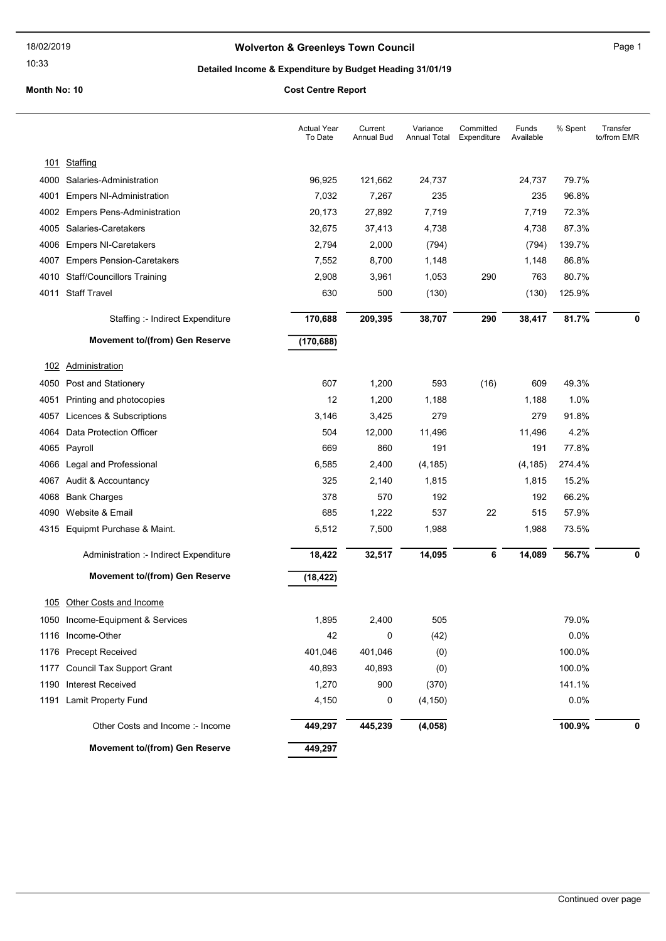# Wolverton & Greenleys Town Council Manual Page 1

### 10:33

# Detailed Income & Expenditure by Budget Heading 31/01/19

|      |                                        | <b>Actual Year</b><br>To Date | Current<br>Annual Bud | Variance<br>Annual Total | Committed<br>Expenditure | Funds<br>Available | % Spent | Transfer<br>to/from EMR |
|------|----------------------------------------|-------------------------------|-----------------------|--------------------------|--------------------------|--------------------|---------|-------------------------|
|      | 101 Staffing                           |                               |                       |                          |                          |                    |         |                         |
| 4000 | Salaries-Administration                | 96,925                        | 121,662               | 24,737                   |                          | 24,737             | 79.7%   |                         |
| 4001 | <b>Empers NI-Administration</b>        | 7,032                         | 7,267                 | 235                      |                          | 235                | 96.8%   |                         |
| 4002 | <b>Empers Pens-Administration</b>      | 20,173                        | 27,892                | 7,719                    |                          | 7,719              | 72.3%   |                         |
| 4005 | Salaries-Caretakers                    | 32,675                        | 37,413                | 4,738                    |                          | 4,738              | 87.3%   |                         |
| 4006 | <b>Empers NI-Caretakers</b>            | 2,794                         | 2,000                 | (794)                    |                          | (794)              | 139.7%  |                         |
| 4007 | <b>Empers Pension-Caretakers</b>       | 7,552                         | 8,700                 | 1,148                    |                          | 1,148              | 86.8%   |                         |
| 4010 | <b>Staff/Councillors Training</b>      | 2,908                         | 3,961                 | 1,053                    | 290                      | 763                | 80.7%   |                         |
|      | 4011 Staff Travel                      | 630                           | 500                   | (130)                    |                          | (130)              | 125.9%  |                         |
|      | Staffing :- Indirect Expenditure       | 170,688                       | 209,395               | 38,707                   | 290                      | 38,417             | 81.7%   | 0                       |
|      | Movement to/(from) Gen Reserve         | (170, 688)                    |                       |                          |                          |                    |         |                         |
| 102  | <b>Administration</b>                  |                               |                       |                          |                          |                    |         |                         |
| 4050 | Post and Stationery                    | 607                           | 1,200                 | 593                      | (16)                     | 609                | 49.3%   |                         |
| 4051 | Printing and photocopies               | 12                            | 1,200                 | 1,188                    |                          | 1,188              | 1.0%    |                         |
| 4057 | Licences & Subscriptions               | 3,146                         | 3,425                 | 279                      |                          | 279                | 91.8%   |                         |
| 4064 | Data Protection Officer                | 504                           | 12,000                | 11,496                   |                          | 11,496             | 4.2%    |                         |
|      | 4065 Payroll                           | 669                           | 860                   | 191                      |                          | 191                | 77.8%   |                         |
|      | 4066 Legal and Professional            | 6,585                         | 2,400                 | (4, 185)                 |                          | (4, 185)           | 274.4%  |                         |
|      | 4067 Audit & Accountancy               | 325                           | 2,140                 | 1,815                    |                          | 1,815              | 15.2%   |                         |
| 4068 | <b>Bank Charges</b>                    | 378                           | 570                   | 192                      |                          | 192                | 66.2%   |                         |
| 4090 | Website & Email                        | 685                           | 1,222                 | 537                      | 22                       | 515                | 57.9%   |                         |
|      | 4315 Equipmt Purchase & Maint.         | 5,512                         | 7,500                 | 1,988                    |                          | 1,988              | 73.5%   |                         |
|      | Administration :- Indirect Expenditure | 18,422                        | 32,517                | 14,095                   | 6                        | 14,089             | 56.7%   | 0                       |
|      | Movement to/(from) Gen Reserve         | (18, 422)                     |                       |                          |                          |                    |         |                         |
| 105  | Other Costs and Income                 |                               |                       |                          |                          |                    |         |                         |
|      | 1050 Income-Equipment & Services       | 1,895                         | 2,400                 | 505                      |                          |                    | 79.0%   |                         |
|      | 1116 Income-Other                      | 42                            | 0                     | (42)                     |                          |                    | 0.0%    |                         |
|      | 1176 Precept Received                  | 401,046                       | 401,046               | (0)                      |                          |                    | 100.0%  |                         |
|      | 1177 Council Tax Support Grant         | 40,893                        | 40,893                | (0)                      |                          |                    | 100.0%  |                         |
|      | 1190 Interest Received                 | 1,270                         | 900                   | (370)                    |                          |                    | 141.1%  |                         |
|      | 1191 Lamit Property Fund               | 4,150                         | 0                     | (4, 150)                 |                          |                    | 0.0%    |                         |
|      | Other Costs and Income: - Income       | 449,297                       | 445,239               | (4, 058)                 |                          |                    | 100.9%  | 0                       |
|      | Movement to/(from) Gen Reserve         | 449,297                       |                       |                          |                          |                    |         |                         |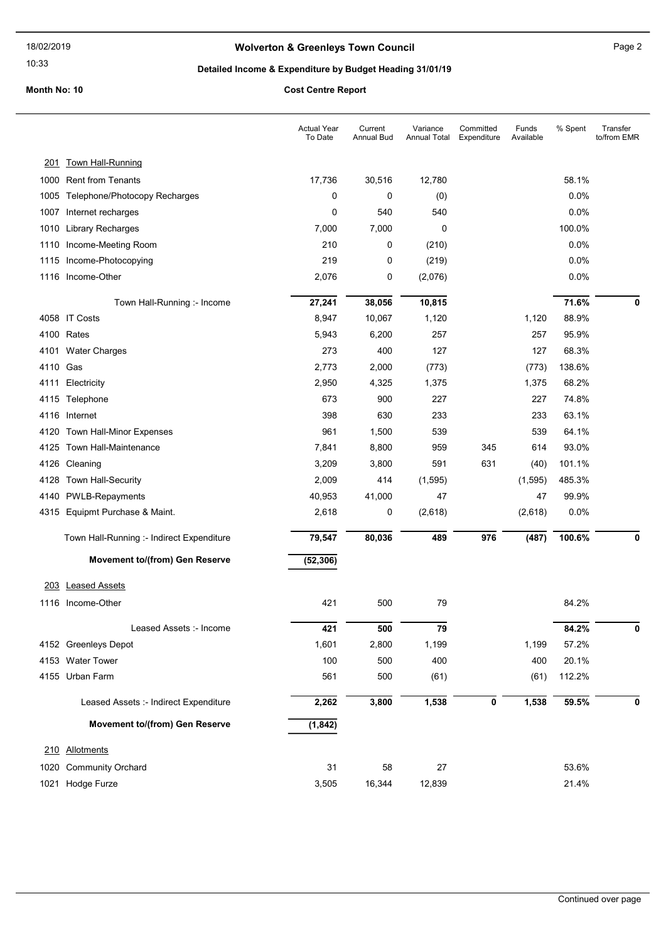# Wolverton & Greenleys Town Council Manuscripture of Page 2

### 10:33

# Detailed Income & Expenditure by Budget Heading 31/01/19

|          |                                           | <b>Actual Year</b><br>To Date | Current<br><b>Annual Bud</b> | Variance<br>Annual Total | Committed<br>Expenditure | Funds<br>Available | % Spent | Transfer<br>to/from EMR |
|----------|-------------------------------------------|-------------------------------|------------------------------|--------------------------|--------------------------|--------------------|---------|-------------------------|
|          | 201 Town Hall-Running                     |                               |                              |                          |                          |                    |         |                         |
|          | 1000 Rent from Tenants                    | 17,736                        | 30,516                       | 12,780                   |                          |                    | 58.1%   |                         |
| 1005     | Telephone/Photocopy Recharges             | 0                             | 0                            | (0)                      |                          |                    | 0.0%    |                         |
| 1007     | Internet recharges                        | 0                             | 540                          | 540                      |                          |                    | 0.0%    |                         |
| 1010     | <b>Library Recharges</b>                  | 7,000                         | 7,000                        | 0                        |                          |                    | 100.0%  |                         |
| 1110     | Income-Meeting Room                       | 210                           | 0                            | (210)                    |                          |                    | $0.0\%$ |                         |
|          | 1115 Income-Photocopying                  | 219                           | 0                            | (219)                    |                          |                    | 0.0%    |                         |
|          | 1116 Income-Other                         | 2,076                         | 0                            | (2,076)                  |                          |                    | 0.0%    |                         |
|          | Town Hall-Running :- Income               | 27,241                        | 38,056                       | 10,815                   |                          |                    | 71.6%   | 0                       |
|          | 4058 IT Costs                             | 8,947                         | 10,067                       | 1,120                    |                          | 1,120              | 88.9%   |                         |
|          | 4100 Rates                                | 5,943                         | 6,200                        | 257                      |                          | 257                | 95.9%   |                         |
| 4101     | <b>Water Charges</b>                      | 273                           | 400                          | 127                      |                          | 127                | 68.3%   |                         |
| 4110 Gas |                                           | 2,773                         | 2,000                        | (773)                    |                          | (773)              | 138.6%  |                         |
| 4111     | Electricity                               | 2,950                         | 4,325                        | 1,375                    |                          | 1,375              | 68.2%   |                         |
|          | 4115 Telephone                            | 673                           | 900                          | 227                      |                          | 227                | 74.8%   |                         |
|          | 4116 Internet                             | 398                           | 630                          | 233                      |                          | 233                | 63.1%   |                         |
| 4120     | Town Hall-Minor Expenses                  | 961                           | 1,500                        | 539                      |                          | 539                | 64.1%   |                         |
|          | 4125 Town Hall-Maintenance                | 7,841                         | 8,800                        | 959                      | 345                      | 614                | 93.0%   |                         |
| 4126     | Cleaning                                  | 3,209                         | 3,800                        | 591                      | 631                      | (40)               | 101.1%  |                         |
|          | 4128 Town Hall-Security                   | 2,009                         | 414                          | (1, 595)                 |                          | (1, 595)           | 485.3%  |                         |
| 4140     | <b>PWLB-Repayments</b>                    | 40,953                        | 41,000                       | 47                       |                          | 47                 | 99.9%   |                         |
|          | 4315 Equipmt Purchase & Maint.            | 2,618                         | 0                            | (2,618)                  |                          | (2,618)            | 0.0%    |                         |
|          | Town Hall-Running :- Indirect Expenditure | 79,547                        | 80,036                       | 489                      | 976                      | (487)              | 100.6%  | 0                       |
|          | <b>Movement to/(from) Gen Reserve</b>     | (52, 306)                     |                              |                          |                          |                    |         |                         |
| 203      | <b>Leased Assets</b>                      |                               |                              |                          |                          |                    |         |                         |
|          | 1116 Income-Other                         | 421                           | 500                          | 79                       |                          |                    | 84.2%   |                         |
|          | Leased Assets :- Income                   | 421                           | 500                          | 79                       |                          |                    | 84.2%   | 0                       |
|          | 4152 Greenleys Depot                      | 1,601                         | 2,800                        | 1,199                    |                          | 1,199              | 57.2%   |                         |
|          | 4153 Water Tower                          | 100                           | 500                          | 400                      |                          | 400                | 20.1%   |                         |
|          | 4155 Urban Farm                           | 561                           | 500                          | (61)                     |                          | (61)               | 112.2%  |                         |
|          | Leased Assets :- Indirect Expenditure     | 2,262                         | 3,800                        | 1,538                    | 0                        | 1,538              | 59.5%   | 0                       |
|          | Movement to/(from) Gen Reserve            | (1, 842)                      |                              |                          |                          |                    |         |                         |
|          |                                           |                               |                              |                          |                          |                    |         |                         |
|          | 210 Allotments                            |                               |                              |                          |                          |                    |         |                         |
| 1020     | <b>Community Orchard</b>                  | 31                            | 58                           | 27                       |                          |                    | 53.6%   |                         |
|          | 1021 Hodge Furze                          | 3,505                         | 16,344                       | 12,839                   |                          |                    | 21.4%   |                         |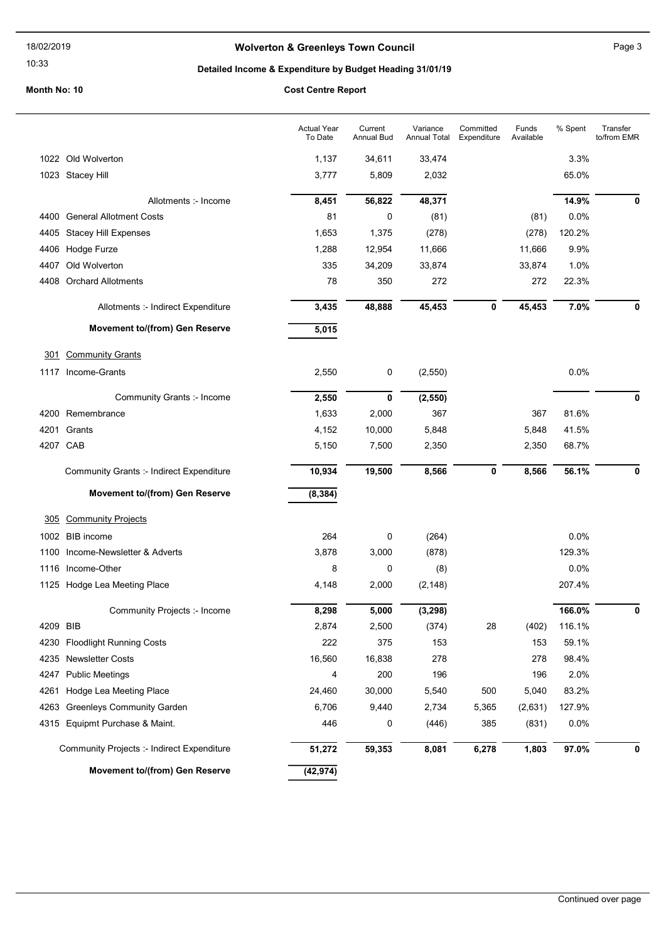10:33

# Wolverton & Greenleys Town Council Manuscripture of Page 3

# Detailed Income & Expenditure by Budget Heading 31/01/19

|          |                                                 | <b>Actual Year</b><br>To Date | Current<br><b>Annual Bud</b> | Variance<br><b>Annual Total</b> | Committed<br>Expenditure | Funds<br>Available | % Spent | Transfer<br>to/from EMR |
|----------|-------------------------------------------------|-------------------------------|------------------------------|---------------------------------|--------------------------|--------------------|---------|-------------------------|
|          | 1022 Old Wolverton                              | 1,137                         | 34,611                       | 33,474                          |                          |                    | 3.3%    |                         |
|          | 1023 Stacey Hill                                | 3,777                         | 5,809                        | 2,032                           |                          |                    | 65.0%   |                         |
|          | Allotments :- Income                            | 8,451                         | 56,822                       | 48,371                          |                          |                    | 14.9%   | 0                       |
|          | 4400 General Allotment Costs                    | 81                            | 0                            | (81)                            |                          | (81)               | 0.0%    |                         |
| 4405     | Stacey Hill Expenses                            | 1,653                         | 1,375                        | (278)                           |                          | (278)              | 120.2%  |                         |
| 4406     | Hodge Furze                                     | 1,288                         | 12,954                       | 11,666                          |                          | 11,666             | 9.9%    |                         |
| 4407     | Old Wolverton                                   | 335                           | 34,209                       | 33,874                          |                          | 33,874             | 1.0%    |                         |
| 4408     | <b>Orchard Allotments</b>                       | 78                            | 350                          | 272                             |                          | 272                | 22.3%   |                         |
|          | Allotments :- Indirect Expenditure              | 3,435                         | 48,888                       | 45,453                          | 0                        | 45,453             | 7.0%    | 0                       |
|          | Movement to/(from) Gen Reserve                  | 5,015                         |                              |                                 |                          |                    |         |                         |
| 301      | <b>Community Grants</b>                         |                               |                              |                                 |                          |                    |         |                         |
|          | 1117 Income-Grants                              | 2,550                         | 0                            | (2, 550)                        |                          |                    | 0.0%    |                         |
|          | Community Grants :- Income                      | 2,550                         | 0                            | (2, 550)                        |                          |                    |         | 0                       |
|          | 4200 Remembrance                                | 1,633                         | 2,000                        | 367                             |                          | 367                | 81.6%   |                         |
| 4201     | Grants                                          | 4,152                         | 10,000                       | 5,848                           |                          | 5,848              | 41.5%   |                         |
| 4207 CAB |                                                 | 5,150                         | 7,500                        | 2,350                           |                          | 2,350              | 68.7%   |                         |
|          | <b>Community Grants :- Indirect Expenditure</b> | 10,934                        | 19,500                       | 8,566                           | 0                        | 8,566              | 56.1%   | 0                       |
|          | Movement to/(from) Gen Reserve                  | (8, 384)                      |                              |                                 |                          |                    |         |                         |
| 305      | <b>Community Projects</b>                       |                               |                              |                                 |                          |                    |         |                         |
|          | 1002 BIB income                                 | 264                           | 0                            | (264)                           |                          |                    | 0.0%    |                         |
| 1100     | Income-Newsletter & Adverts                     | 3,878                         | 3,000                        | (878)                           |                          |                    | 129.3%  |                         |
| 1116     | Income-Other                                    | 8                             | 0                            | (8)                             |                          |                    | 0.0%    |                         |
|          | 1125 Hodge Lea Meeting Place                    | 4,148                         | 2,000                        | (2, 148)                        |                          |                    | 207.4%  |                         |
|          | Community Projects :- Income                    | 8,298                         | 5,000                        | (3, 298)                        |                          |                    | 166.0%  | 0                       |
| 4209 BIB |                                                 | 2,874                         | 2,500                        | (374)                           | 28                       | (402)              | 116.1%  |                         |
|          | 4230 Floodlight Running Costs                   | 222                           | 375                          | 153                             |                          | 153                | 59.1%   |                         |
|          | 4235 Newsletter Costs                           | 16,560                        | 16,838                       | 278                             |                          | 278                | 98.4%   |                         |
| 4247     | <b>Public Meetings</b>                          | 4                             | 200                          | 196                             |                          | 196                | 2.0%    |                         |
| 4261     | Hodge Lea Meeting Place                         | 24,460                        | 30,000                       | 5,540                           | 500                      | 5,040              | 83.2%   |                         |
| 4263     | <b>Greenleys Community Garden</b>               | 6,706                         | 9,440                        | 2,734                           | 5,365                    | (2,631)            | 127.9%  |                         |
|          | 4315 Equipmt Purchase & Maint.                  | 446                           | 0                            | (446)                           | 385                      | (831)              | 0.0%    |                         |
|          | Community Projects :- Indirect Expenditure      | 51,272                        | 59,353                       | 8,081                           | 6,278                    | 1,803              | 97.0%   | 0                       |
|          | <b>Movement to/(from) Gen Reserve</b>           | (42, 974)                     |                              |                                 |                          |                    |         |                         |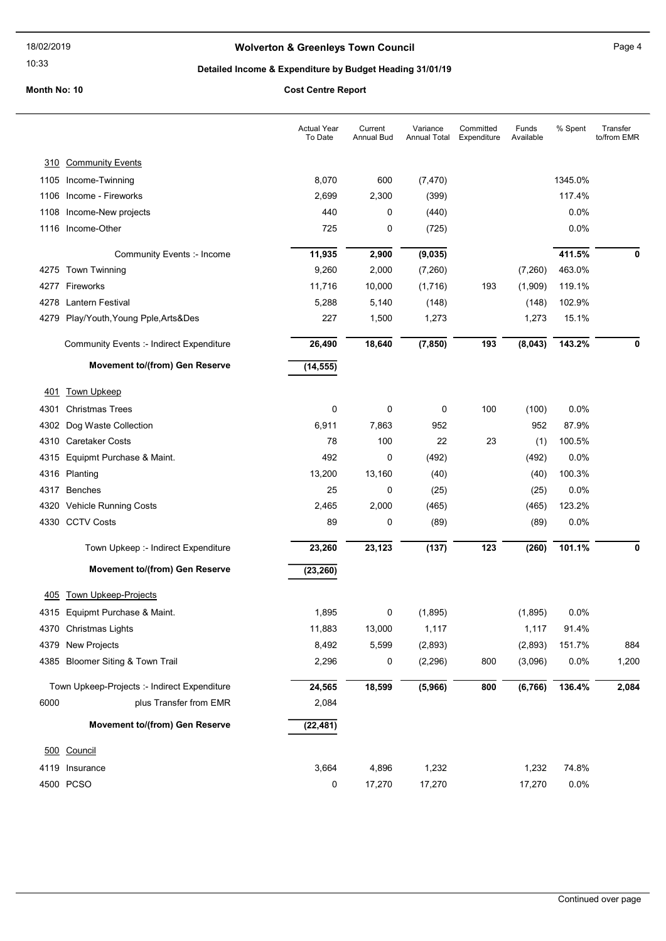10:33

# Wolverton & Greenleys Town Council Manuscripture of Page 4

# Detailed Income & Expenditure by Budget Heading 31/01/19

|      |                                              | <b>Actual Year</b><br>To Date | Current<br>Annual Bud | Variance<br>Annual Total | Committed<br>Expenditure | Funds<br>Available | % Spent | Transfer<br>to/from EMR |
|------|----------------------------------------------|-------------------------------|-----------------------|--------------------------|--------------------------|--------------------|---------|-------------------------|
| 310  | <b>Community Events</b>                      |                               |                       |                          |                          |                    |         |                         |
|      | 1105 Income-Twinning                         | 8,070                         | 600                   | (7, 470)                 |                          |                    | 1345.0% |                         |
| 1106 | Income - Fireworks                           | 2,699                         | 2,300                 | (399)                    |                          |                    | 117.4%  |                         |
| 1108 | Income-New projects                          | 440                           | 0                     | (440)                    |                          |                    | 0.0%    |                         |
|      | 1116 Income-Other                            | 725                           | 0                     | (725)                    |                          |                    | 0.0%    |                         |
|      | Community Events :- Income                   | 11,935                        | 2,900                 | (9,035)                  |                          |                    | 411.5%  | 0                       |
|      | 4275 Town Twinning                           | 9,260                         | 2,000                 | (7,260)                  |                          | (7,260)            | 463.0%  |                         |
|      | 4277 Fireworks                               | 11,716                        | 10,000                | (1,716)                  | 193                      | (1,909)            | 119.1%  |                         |
|      | 4278 Lantern Festival                        | 5,288                         | 5,140                 | (148)                    |                          | (148)              | 102.9%  |                         |
|      | 4279 Play/Youth, Young Pple, Arts&Des        | 227                           | 1,500                 | 1,273                    |                          | 1,273              | 15.1%   |                         |
|      | Community Events :- Indirect Expenditure     | 26,490                        | 18,640                | (7, 850)                 | 193                      | (8,043)            | 143.2%  | 0                       |
|      | Movement to/(from) Gen Reserve               | (14, 555)                     |                       |                          |                          |                    |         |                         |
| 401  | <b>Town Upkeep</b>                           |                               |                       |                          |                          |                    |         |                         |
| 4301 | <b>Christmas Trees</b>                       | 0                             | 0                     | 0                        | 100                      | (100)              | 0.0%    |                         |
| 4302 | Dog Waste Collection                         | 6,911                         | 7,863                 | 952                      |                          | 952                | 87.9%   |                         |
| 4310 | <b>Caretaker Costs</b>                       | 78                            | 100                   | 22                       | 23                       | (1)                | 100.5%  |                         |
|      | 4315 Equipmt Purchase & Maint.               | 492                           | 0                     | (492)                    |                          | (492)              | 0.0%    |                         |
|      | 4316 Planting                                | 13,200                        | 13,160                | (40)                     |                          | (40)               | 100.3%  |                         |
| 4317 | <b>Benches</b>                               | 25                            | 0                     | (25)                     |                          | (25)               | 0.0%    |                         |
|      | 4320 Vehicle Running Costs                   | 2,465                         | 2,000                 | (465)                    |                          | (465)              | 123.2%  |                         |
|      | 4330 CCTV Costs                              | 89                            | 0                     | (89)                     |                          | (89)               | 0.0%    |                         |
|      | Town Upkeep :- Indirect Expenditure          | 23,260                        | 23,123                | (137)                    | 123                      | (260)              | 101.1%  | 0                       |
|      | Movement to/(from) Gen Reserve               | (23, 260)                     |                       |                          |                          |                    |         |                         |
| 405  | <b>Town Upkeep-Projects</b>                  |                               |                       |                          |                          |                    |         |                         |
|      | 4315 Equipmt Purchase & Maint.               | 1,895                         | 0                     | (1,895)                  |                          | (1,895)            | 0.0%    |                         |
|      | 4370 Christmas Lights                        | 11,883                        | 13,000                | 1,117                    |                          | 1,117              | 91.4%   |                         |
|      | 4379 New Projects                            | 8,492                         | 5,599                 | (2,893)                  |                          | (2,893)            | 151.7%  | 884                     |
|      | 4385 Bloomer Siting & Town Trail             | 2,296                         | 0                     | (2, 296)                 | 800                      | (3,096)            | 0.0%    | 1,200                   |
|      | Town Upkeep-Projects :- Indirect Expenditure | 24,565                        | 18,599                | (5,966)                  | 800                      | (6, 766)           | 136.4%  | 2,084                   |
| 6000 | plus Transfer from EMR                       | 2,084                         |                       |                          |                          |                    |         |                         |
|      | <b>Movement to/(from) Gen Reserve</b>        | (22, 481)                     |                       |                          |                          |                    |         |                         |
|      | 500 Council                                  |                               |                       |                          |                          |                    |         |                         |
|      | 4119 Insurance                               | 3,664                         | 4,896                 | 1,232                    |                          | 1,232              | 74.8%   |                         |
|      | 4500 PCSO                                    | 0                             | 17,270                | 17,270                   |                          | 17,270             | 0.0%    |                         |